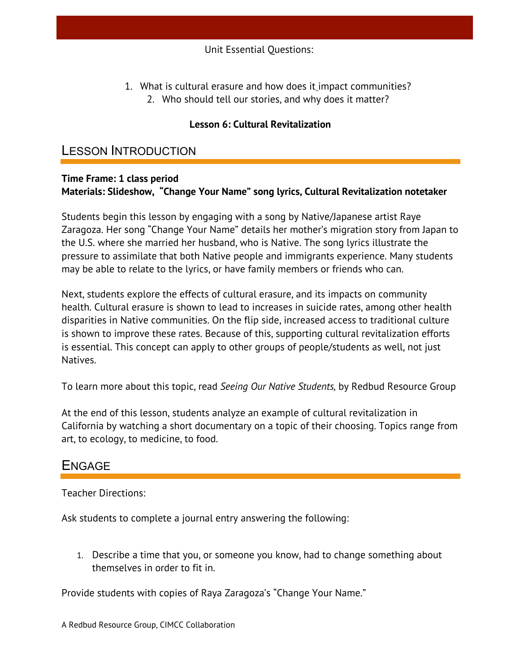1. What is cultural erasure and how does it impact communities? 2. Who should tell our stories, and why does it matter?

### **Lesson 6: Cultural Revitalization**

### LESSON INTRODUCTION

#### **Time Frame: 1 class period Materials: Slideshow, "Change Your Name" song lyrics, Cultural Revitalization notetaker**

Students begin this lesson by engaging with a song by Native/Japanese artist Raye Zaragoza. Her song "Change Your Name" details her mother's migration story from Japan to the U.S. where she married her husband, who is Native. The song lyrics illustrate the pressure to assimilate that both Native people and immigrants experience. Many students may be able to relate to the lyrics, or have family members or friends who can.

Next, students explore the effects of cultural erasure, and its impacts on community health. Cultural erasure is shown to lead to increases in suicide rates, among other health disparities in Native communities. On the flip side, increased access to traditional culture is shown to improve these rates. Because of this, supporting cultural revitalization efforts is essential. This concept can apply to other groups of people/students as well, not just Natives.

To learn more about this topic, read *Seeing Our Native Students,* by Redbud Resource Group

At the end of this lesson, students analyze an example of cultural revitalization in California by watching a short documentary on a topic of their choosing. Topics range from art, to ecology, to medicine, to food.

## ENGAGE

Teacher Directions:

Ask students to complete a journal entry answering the following:

1. Describe a time that you, or someone you know, had to change something about themselves in order to fit in.

Provide students with copies of Raya Zaragoza's "Change Your Name."

A Redbud Resource Group, CIMCC Collaboration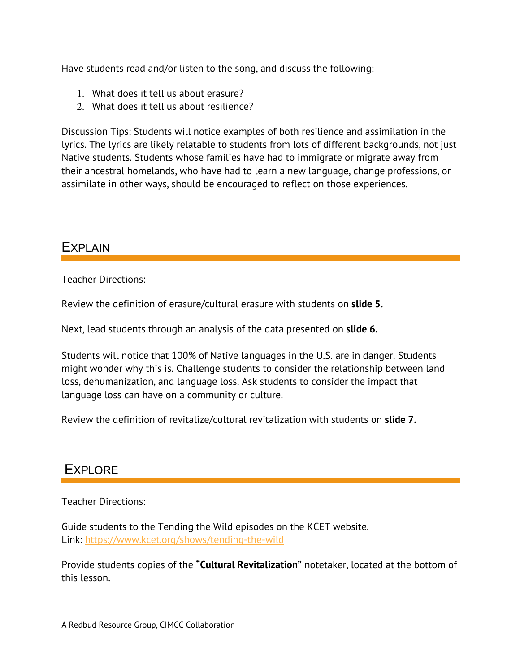Have students read and/or listen to the song, and discuss the following:

- 1. What does it tell us about erasure?
- 2. What does it tell us about resilience?

Discussion Tips: Students will notice examples of both resilience and assimilation in the lyrics. The lyrics are likely relatable to students from lots of different backgrounds, not just Native students. Students whose families have had to immigrate or migrate away from their ancestral homelands, who have had to learn a new language, change professions, or assimilate in other ways, should be encouraged to reflect on those experiences.

## **EXPLAIN**

Teacher Directions:

Review the definition of erasure/cultural erasure with students on **slide 5.**

Next, lead students through an analysis of the data presented on **slide 6.** 

Students will notice that 100% of Native languages in the U.S. are in danger. Students might wonder why this is. Challenge students to consider the relationship between land loss, dehumanization, and language loss. Ask students to consider the impact that language loss can have on a community or culture.

Review the definition of revitalize/cultural revitalization with students on **slide 7.**

# **EXPLORE**

Teacher Directions:

Guide students to the Tending the Wild episodes on the KCET website. Link: https://www.kcet.org/shows/tending-the-wild

Provide students copies of the **"Cultural Revitalization"** notetaker, located at the bottom of this lesson.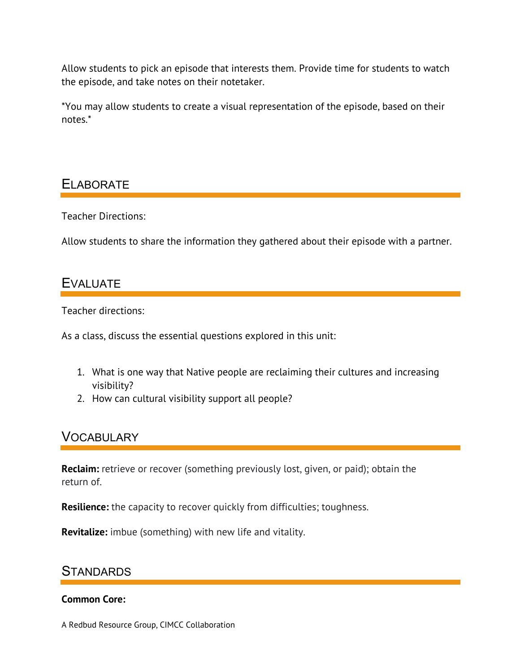Allow students to pick an episode that interests them. Provide time for students to watch the episode, and take notes on their notetaker.

\*You may allow students to create a visual representation of the episode, based on their notes.\*

## ELABORATE

Teacher Directions:

Allow students to share the information they gathered about their episode with a partner.

## EVALUATE

Teacher directions:

As a class, discuss the essential questions explored in this unit:

- 1. What is one way that Native people are reclaiming their cultures and increasing visibility?
- 2. How can cultural visibility support all people?

## **VOCABULARY**

**Reclaim:** retrieve or recover (something previously lost, given, or paid); obtain the return of.

**Resilience:** the capacity to recover quickly from difficulties; toughness.

**Revitalize:** imbue (something) with new life and vitality.

## **STANDARDS**

#### **Common Core:**

A Redbud Resource Group, CIMCC Collaboration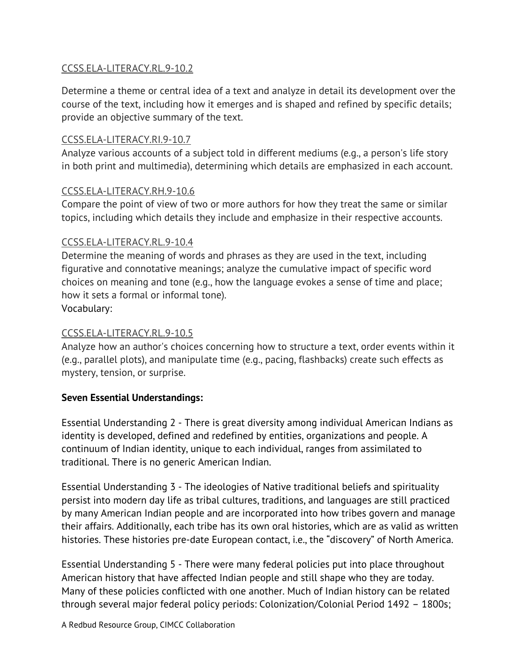### CCSS.ELA-LITERACY.RL.9-10.2

Determine a theme or central idea of a text and analyze in detail its development over the course of the text, including how it emerges and is shaped and refined by specific details; provide an objective summary of the text.

### CCSS.ELA-LITERACY.RI.9-10.7

Analyze various accounts of a subject told in different mediums (e.g., a person's life story in both print and multimedia), determining which details are emphasized in each account.

#### CCSS.ELA-LITERACY.RH.9-10.6

Compare the point of view of two or more authors for how they treat the same or similar topics, including which details they include and emphasize in their respective accounts.

#### CCSS.ELA-LITERACY.RL.9-10.4

Determine the meaning of words and phrases as they are used in the text, including figurative and connotative meanings; analyze the cumulative impact of specific word choices on meaning and tone (e.g., how the language evokes a sense of time and place; how it sets a formal or informal tone).

Vocabulary:

### CCSS.ELA-LITERACY.RL.9-10.5

Analyze how an author's choices concerning how to structure a text, order events within it (e.g., parallel plots), and manipulate time (e.g., pacing, flashbacks) create such effects as mystery, tension, or surprise.

### **Seven Essential Understandings:**

Essential Understanding 2 - There is great diversity among individual American Indians as identity is developed, defined and redefined by entities, organizations and people. A continuum of Indian identity, unique to each individual, ranges from assimilated to traditional. There is no generic American Indian.

Essential Understanding 3 - The ideologies of Native traditional beliefs and spirituality persist into modern day life as tribal cultures, traditions, and languages are still practiced by many American Indian people and are incorporated into how tribes govern and manage their affairs. Additionally, each tribe has its own oral histories, which are as valid as written histories. These histories pre-date European contact, i.e., the "discovery" of North America.

Essential Understanding 5 - There were many federal policies put into place throughout American history that have affected Indian people and still shape who they are today. Many of these policies conflicted with one another. Much of Indian history can be related through several major federal policy periods: Colonization/Colonial Period 1492 – 1800s;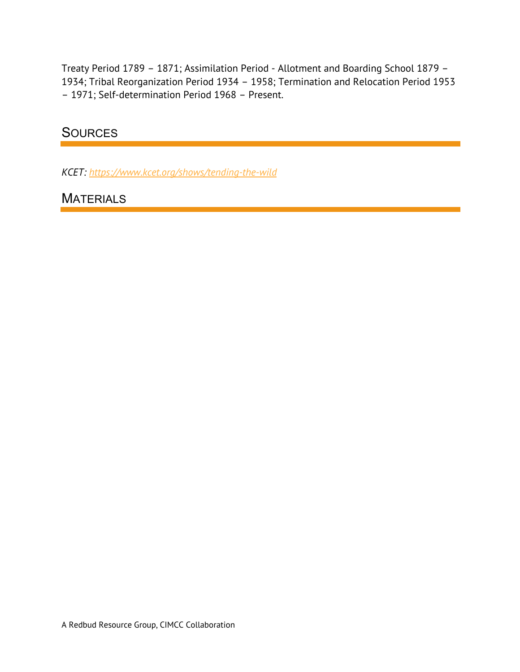Treaty Period 1789 – 1871; Assimilation Period - Allotment and Boarding School 1879 – 1934; Tribal Reorganization Period 1934 – 1958; Termination and Relocation Period 1953 – 1971; Self-determination Period 1968 – Present.

### **SOURCES**

*KCET: https://www.kcet.org/shows/tending-the-wild*

### **MATERIALS**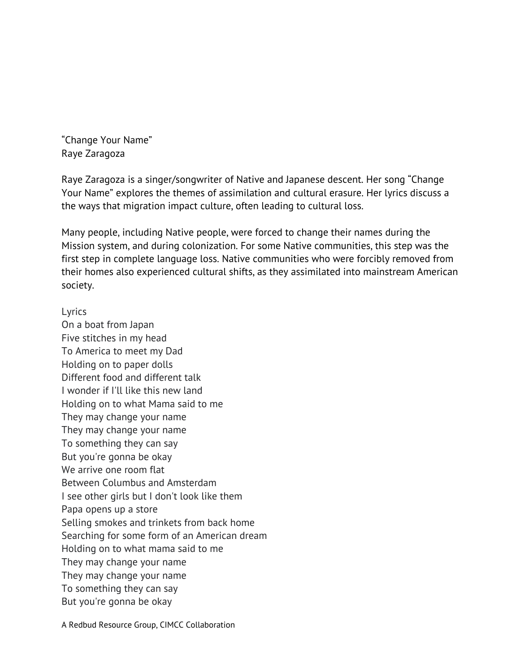"Change Your Name" Raye Zaragoza

Raye Zaragoza is a singer/songwriter of Native and Japanese descent. Her song "Change Your Name" explores the themes of assimilation and cultural erasure. Her lyrics discuss a the ways that migration impact culture, often leading to cultural loss.

Many people, including Native people, were forced to change their names during the Mission system, and during colonization. For some Native communities, this step was the first step in complete language loss. Native communities who were forcibly removed from their homes also experienced cultural shifts, as they assimilated into mainstream American society.

Lyrics

On a boat from Japan Five stitches in my head To America to meet my Dad Holding on to paper dolls Different food and different talk I wonder if I'll like this new land Holding on to what Mama said to me They may change your name They may change your name To something they can say But you're gonna be okay We arrive one room flat Between Columbus and Amsterdam I see other girls but I don't look like them Papa opens up a store Selling smokes and trinkets from back home Searching for some form of an American dream Holding on to what mama said to me They may change your name They may change your name To something they can say But you're gonna be okay

A Redbud Resource Group, CIMCC Collaboration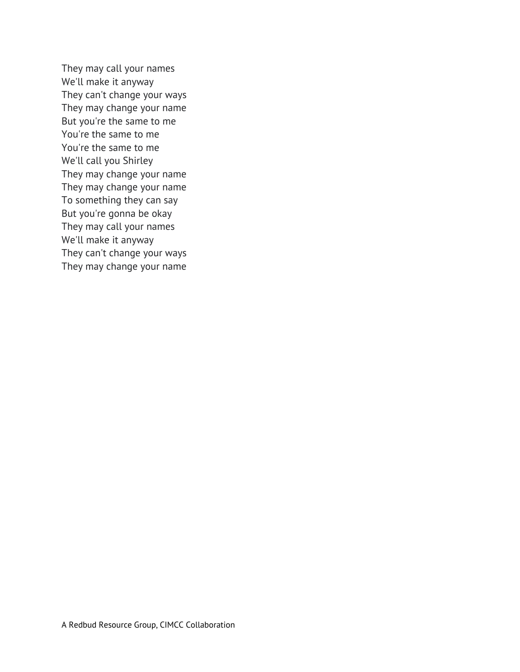They may call your names We'll make it anyway They can't change your ways They may change your name But you're the same to me You're the same to me You're the same to me We'll call you Shirley They may change your name They may change your name To something they can say But you're gonna be okay They may call your names We'll make it anyway They can't change your ways They may change your name